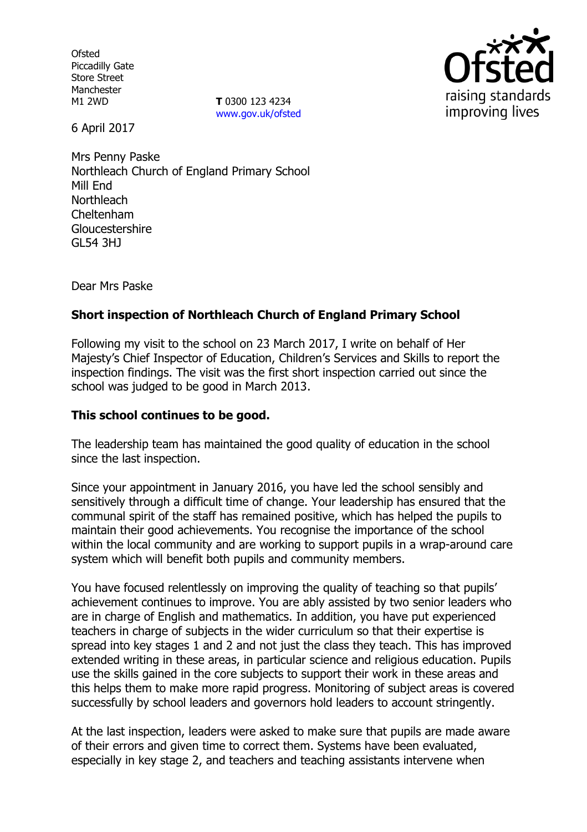Ofsted Piccadilly Gate Store Street Manchester

M1 2WD **T** 0300 123 4234 www.gov.uk/ofsted



6 April 2017

Mrs Penny Paske Northleach Church of England Primary School Mill End **Northleach** Cheltenham Gloucestershire GL54 3HJ

Dear Mrs Paske

## **Short inspection of Northleach Church of England Primary School**

Following my visit to the school on 23 March 2017, I write on behalf of Her Majesty's Chief Inspector of Education, Children's Services and Skills to report the inspection findings. The visit was the first short inspection carried out since the school was judged to be good in March 2013.

#### **This school continues to be good.**

The leadership team has maintained the good quality of education in the school since the last inspection.

Since your appointment in January 2016, you have led the school sensibly and sensitively through a difficult time of change. Your leadership has ensured that the communal spirit of the staff has remained positive, which has helped the pupils to maintain their good achievements. You recognise the importance of the school within the local community and are working to support pupils in a wrap-around care system which will benefit both pupils and community members.

You have focused relentlessly on improving the quality of teaching so that pupils' achievement continues to improve. You are ably assisted by two senior leaders who are in charge of English and mathematics. In addition, you have put experienced teachers in charge of subjects in the wider curriculum so that their expertise is spread into key stages 1 and 2 and not just the class they teach. This has improved extended writing in these areas, in particular science and religious education. Pupils use the skills gained in the core subjects to support their work in these areas and this helps them to make more rapid progress. Monitoring of subject areas is covered successfully by school leaders and governors hold leaders to account stringently.

At the last inspection, leaders were asked to make sure that pupils are made aware of their errors and given time to correct them. Systems have been evaluated, especially in key stage 2, and teachers and teaching assistants intervene when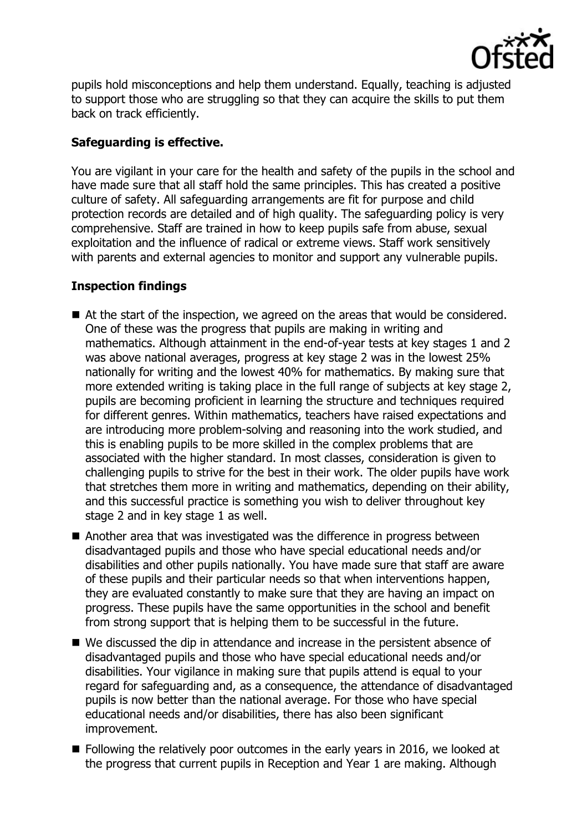

pupils hold misconceptions and help them understand. Equally, teaching is adjusted to support those who are struggling so that they can acquire the skills to put them back on track efficiently.

### **Safeguarding is effective.**

You are vigilant in your care for the health and safety of the pupils in the school and have made sure that all staff hold the same principles. This has created a positive culture of safety. All safeguarding arrangements are fit for purpose and child protection records are detailed and of high quality. The safeguarding policy is very comprehensive. Staff are trained in how to keep pupils safe from abuse, sexual exploitation and the influence of radical or extreme views. Staff work sensitively with parents and external agencies to monitor and support any vulnerable pupils.

# **Inspection findings**

- At the start of the inspection, we agreed on the areas that would be considered. One of these was the progress that pupils are making in writing and mathematics. Although attainment in the end-of-year tests at key stages 1 and 2 was above national averages, progress at key stage 2 was in the lowest 25% nationally for writing and the lowest 40% for mathematics. By making sure that more extended writing is taking place in the full range of subjects at key stage 2, pupils are becoming proficient in learning the structure and techniques required for different genres. Within mathematics, teachers have raised expectations and are introducing more problem-solving and reasoning into the work studied, and this is enabling pupils to be more skilled in the complex problems that are associated with the higher standard. In most classes, consideration is given to challenging pupils to strive for the best in their work. The older pupils have work that stretches them more in writing and mathematics, depending on their ability, and this successful practice is something you wish to deliver throughout key stage 2 and in key stage 1 as well.
- Another area that was investigated was the difference in progress between disadvantaged pupils and those who have special educational needs and/or disabilities and other pupils nationally. You have made sure that staff are aware of these pupils and their particular needs so that when interventions happen, they are evaluated constantly to make sure that they are having an impact on progress. These pupils have the same opportunities in the school and benefit from strong support that is helping them to be successful in the future.
- We discussed the dip in attendance and increase in the persistent absence of disadvantaged pupils and those who have special educational needs and/or disabilities. Your vigilance in making sure that pupils attend is equal to your regard for safeguarding and, as a consequence, the attendance of disadvantaged pupils is now better than the national average. For those who have special educational needs and/or disabilities, there has also been significant improvement.
- Following the relatively poor outcomes in the early years in 2016, we looked at the progress that current pupils in Reception and Year 1 are making. Although